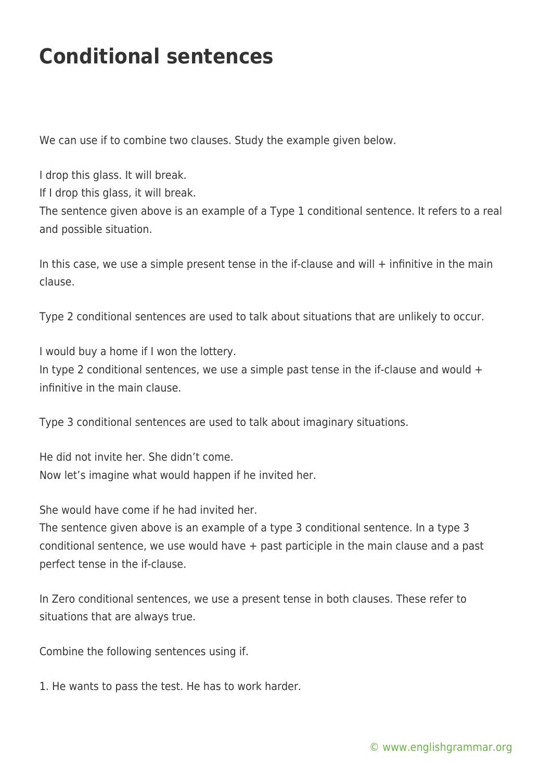## **Conditional sentences**

We can use if to combine two clauses. Study the example given below.

I drop this glass. It will break. If I drop this glass, it will break. The sentence given above is an example of a Type 1 conditional sentence. It refers to a real and possible situation.

In this case, we use a simple present tense in the if-clause and will  $+$  infinitive in the main clause.

Type 2 conditional sentences are used to talk about situations that are unlikely to occur.

I would buy a home if I won the lottery.

In type 2 conditional sentences, we use a simple past tense in the if-clause and would  $+$ infinitive in the main clause.

Type 3 conditional sentences are used to talk about imaginary situations.

He did not invite her. She didn't come. Now let's imagine what would happen if he invited her.

She would have come if he had invited her.

The sentence given above is an example of a type 3 conditional sentence. In a type 3 conditional sentence, we use would have + past participle in the main clause and a past perfect tense in the if-clause.

In Zero conditional sentences, we use a present tense in both clauses. These refer to situations that are always true.

Combine the following sentences using if.

1. He wants to pass the test. He has to work harder.